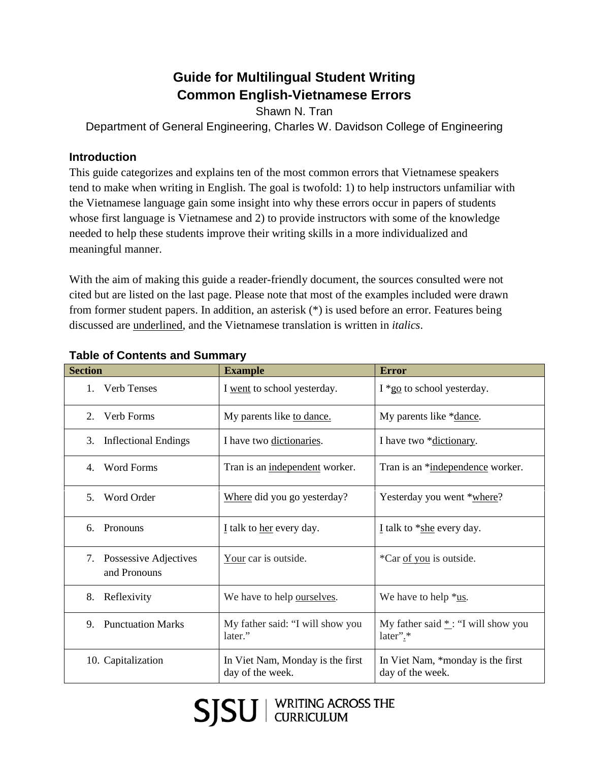# **Guide for Multilingual Student Writing Common English-Vietnamese Errors**

Shawn N. Tran

Department of General Engineering, Charles W. Davidson College of Engineering

## **Introduction**

This guide categorizes and explains ten of the most common errors that Vietnamese speakers tend to make when writing in English. The goal is twofold: 1) to help instructors unfamiliar with the Vietnamese language gain some insight into why these errors occur in papers of students whose first language is Vietnamese and 2) to provide instructors with some of the knowledge needed to help these students improve their writing skills in a more individualized and meaningful manner.

With the aim of making this guide a reader-friendly document, the sources consulted were not cited but are listed on the last page. Please note that most of the examples included were drawn from former student papers. In addition, an asterisk (\*) is used before an error. Features being discussed are underlined, and the Vietnamese translation is written in *italics*.

| <b>Section</b>                              | <b>Example</b>                                       | <b>Error</b>                                          |
|---------------------------------------------|------------------------------------------------------|-------------------------------------------------------|
| <b>Verb Tenses</b><br>1.                    | I went to school yesterday.                          | $I * go$ to school yesterday.                         |
| Verb Forms<br>2.                            | My parents like to dance.                            | My parents like *dance.                               |
| <b>Inflectional Endings</b><br>3.           | I have two dictionaries.                             | I have two *dictionary.                               |
| <b>Word Forms</b><br>4.                     | Tran is an independent worker.                       | Tran is an *independence worker.                      |
| 5.<br>Word Order                            | Where did you go yesterday?                          | Yesterday you went *where?                            |
| Pronouns<br>6.                              | I talk to her every day.                             | I talk to $*$ she every day.                          |
| Possessive Adjectives<br>7.<br>and Pronouns | Your car is outside.                                 | *Car of you is outside.                               |
| 8.<br>Reflexivity                           | We have to help ourselves.                           | We have to help $*_{\underline{us}}$ .                |
| <b>Punctuation Marks</b><br>9.              | My father said: "I will show you<br>later."          | My father said $*$ : "I will show you<br>later".*     |
| 10. Capitalization                          | In Viet Nam, Monday is the first<br>day of the week. | In Viet Nam, *monday is the first<br>day of the week. |

## **Table of Contents and Summary**

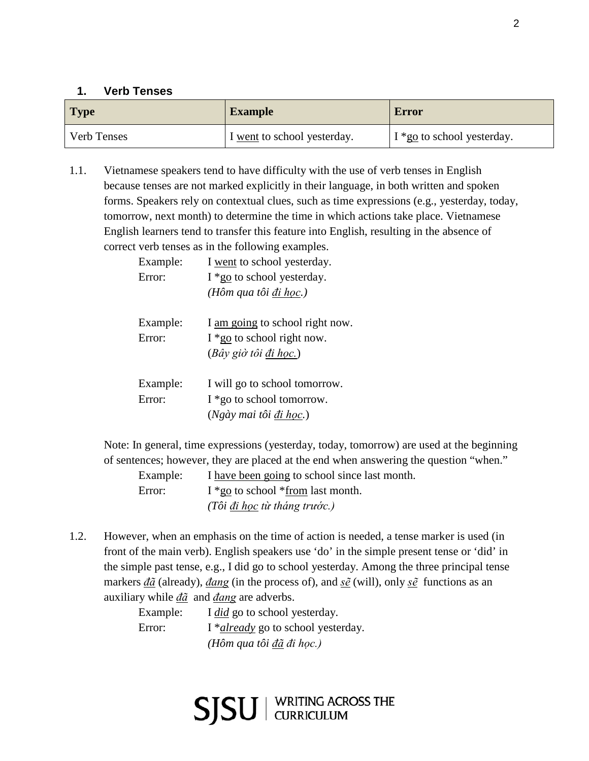## **1. Verb Tenses**

| <b>Type</b>        | <b>Example</b>              | <b>Error</b>                                  |
|--------------------|-----------------------------|-----------------------------------------------|
| <b>Verb Tenses</b> | I went to school yesterday. | $\frac{1 \times 10}{20}$ to school yesterday. |

1.1. Vietnamese speakers tend to have difficulty with the use of verb tenses in English because tenses are not marked explicitly in their language, in both written and spoken forms. Speakers rely on contextual clues, such as time expressions (e.g., yesterday, today, tomorrow, next month) to determine the time in which actions take place. Vietnamese English learners tend to transfer this feature into English, resulting in the absence of correct verb tenses as in the following examples.

| Example:<br>Error: | I went to school yesterday.<br>I *go to school yesterday.<br>(Hôm qua tôi đi học.)                 |
|--------------------|----------------------------------------------------------------------------------------------------|
| Example:<br>Error: | I am going to school right now.<br>$I *$ go to school right now.<br>$(Ba\hat{v})$ giờ tôi đi học.) |
| Example:<br>Error: | I will go to school tomorrow.<br>$I * go$ to school tomorrow.                                      |

Note: In general, time expressions (yesterday, today, tomorrow) are used at the beginning of sentences; however, they are placed at the end when answering the question "when."

Example: I have been going to school since last month. Error:  $I * go$  to school  $* from last month.$ *(Tôi đi học từ tháng trước.)*

(*Ngày mai tôi đi học.*)

1.2. However, when an emphasis on the time of action is needed, a tense marker is used (in front of the main verb). English speakers use 'do' in the simple present tense or 'did' in the simple past tense, e.g., I did go to school yesterday. Among the three principal tense markers *đã* (already), *đang* (in the process of), and *sẽ* (will), only *sẽ* functions as an auxiliary while *đã* and *đang* are adverbs.

| Example: | I <i>did</i> go to school yesterday.       |
|----------|--------------------------------------------|
| Error:   | I * <i>already</i> go to school yesterday. |
|          | (Hôm qua tôi đã đi học.)                   |

SJSU | WRITING ACROSS THE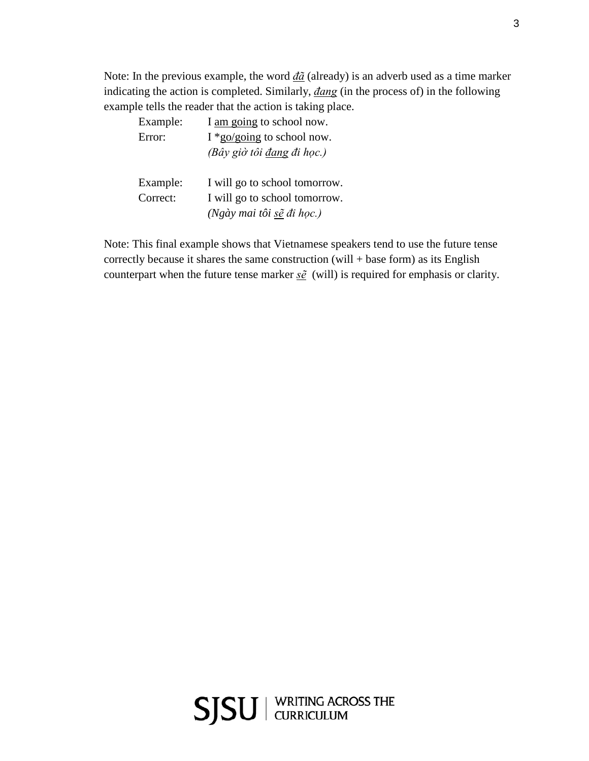Note: In the previous example, the word *đã* (already) is an adverb used as a time marker indicating the action is completed. Similarly, *đang* (in the process of) in the following example tells the reader that the action is taking place.

| Example: | I am going to school now.            |
|----------|--------------------------------------|
| Error:   | I *go/going to school now.           |
|          | (Bây giờ tôi đang đi học.)           |
| Example: | I will go to school tomorrow.        |
| Correct: | I will go to school tomorrow.        |
|          | $(Ng\grave{a}$ y mai tôi sẽ đi học.) |

Note: This final example shows that Vietnamese speakers tend to use the future tense correctly because it shares the same construction  $(will + base form)$  as its English counterpart when the future tense marker *sẽ* (will) is required for emphasis or clarity.



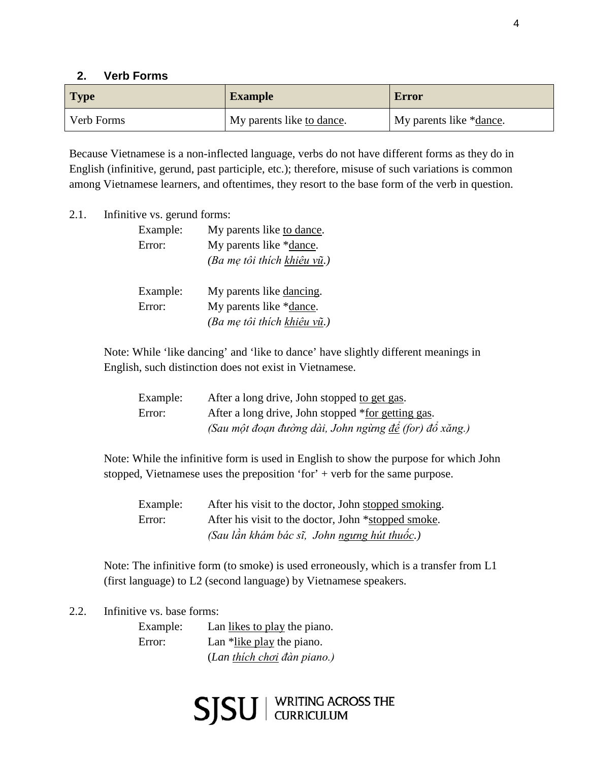#### **2. Verb Forms**

| <b>Type</b> | <b>Example</b>            | Error                            |
|-------------|---------------------------|----------------------------------|
| Verb Forms  | My parents like to dance. | My parents like * <u>dance</u> . |

Because Vietnamese is a non-inflected language, verbs do not have different forms as they do in English (infinitive, gerund, past participle, etc.); therefore, misuse of such variations is common among Vietnamese learners, and oftentimes, they resort to the base form of the verb in question.

2.1. Infinitive vs. gerund forms:

| Example: | My parents like to dance.   |
|----------|-----------------------------|
| Error:   | My parents like *dance.     |
|          | (Ba mẹ tôi thích khiêu vũ.) |
|          |                             |
| Example: | My parents like dancing.    |
| Error:   | My parents like *dance.     |
|          | (Ba mẹ tôi thích khiệu vũ.) |

Note: While 'like dancing' and 'like to dance' have slightly different meanings in English, such distinction does not exist in Vietnamese.

| Example: | After a long drive, John stopped to get gas.           |
|----------|--------------------------------------------------------|
| Error:   | After a long drive, John stopped *for getting gas.     |
|          | (Sau một đoạn đường dài, John ngừng để (for) đổ xăng.) |

Note: While the infinitive form is used in English to show the purpose for which John stopped, Vietnamese uses the preposition 'for' + verb for the same purpose.

Example: After his visit to the doctor, John stopped smoking. Error: After his visit to the doctor, John \*stopped smoke. *(Sau lần khám bác sĩ, John ngưng hút thuốc.)* 

Note: The infinitive form (to smoke) is used erroneously, which is a transfer from L1 (first language) to L2 (second language) by Vietnamese speakers.

2.2. Infinitive vs. base forms:

Example: Lan likes to play the piano. Error: Lan \*like play the piano. (*Lan thích chơi đàn piano.)*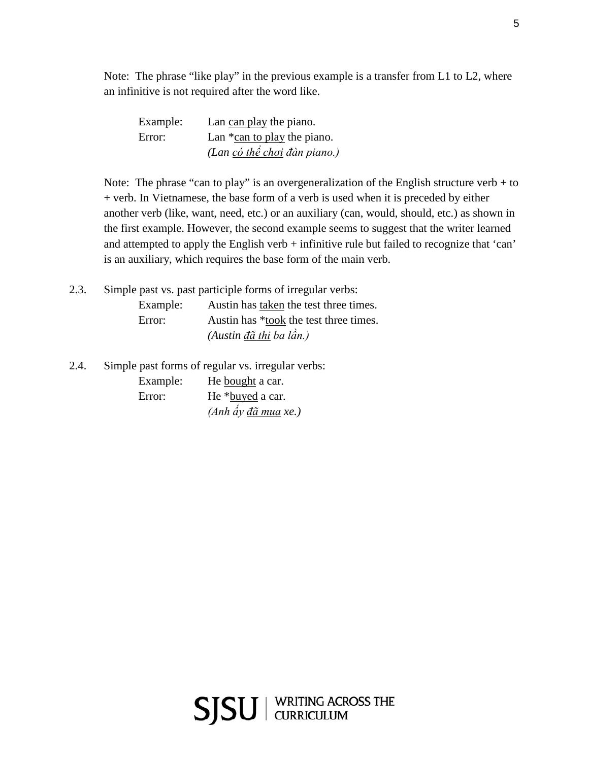Note: The phrase "like play" in the previous example is a transfer from L1 to L2, where an infinitive is not required after the word like.

| Example: | Lan can play the piano.        |
|----------|--------------------------------|
| Error:   | Lan $*$ can to play the piano. |
|          | (Lan có thể chơi đàn piano.)   |

Note: The phrase "can to play" is an overgeneralization of the English structure verb  $+$  to + verb. In Vietnamese, the base form of a verb is used when it is preceded by either another verb (like, want, need, etc.) or an auxiliary (can, would, should, etc.) as shown in the first example. However, the second example seems to suggest that the writer learned and attempted to apply the English verb + infinitive rule but failed to recognize that 'can' is an auxiliary, which requires the base form of the main verb.

2.3. Simple past vs. past participle forms of irregular verbs: Example: Austin has taken the test three times. Error: Austin has \*took the test three times. *(Austin đã thi ba lần.)*

2.4. Simple past forms of regular vs. irregular verbs: Example: He bought a car. Error: He \*buyed a car. *(Anh ấy đã mua xe.)*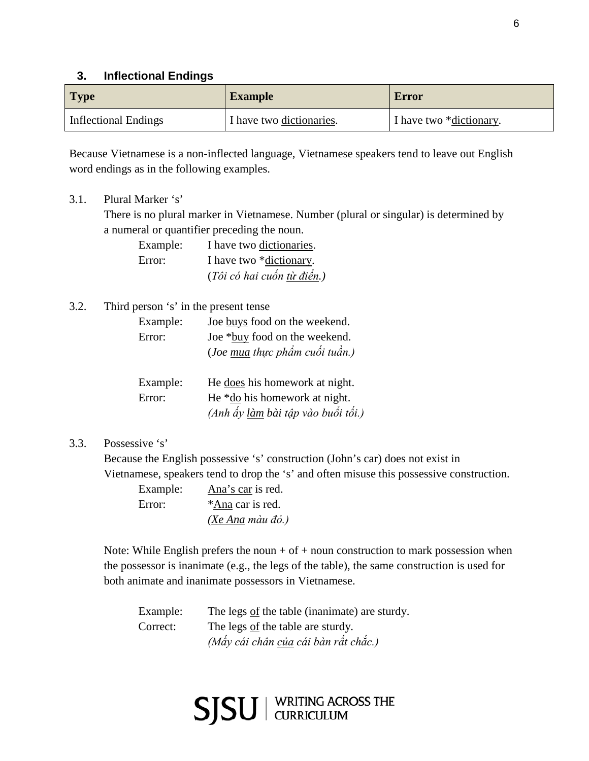### **3. Inflectional Endings**

| <b>Type</b>          | <b>Example</b>           | <b>Error</b>            |
|----------------------|--------------------------|-------------------------|
| Inflectional Endings | I have two dictionaries. | I have two *dictionary. |

Because Vietnamese is a non-inflected language, Vietnamese speakers tend to leave out English word endings as in the following examples.

3.1. Plural Marker 's'

There is no plural marker in Vietnamese. Number (plural or singular) is determined by a numeral or quantifier preceding the noun.

| Example: | I have two dictionaries.   |
|----------|----------------------------|
| Error:   | I have two *dictionary.    |
|          | (Tôi có hai cuốn từ điển.) |

#### 3.2. Third person 's' in the present tense

| Example: | Joe buys food on the weekend.         |
|----------|---------------------------------------|
| Error:   | Joe *buy food on the weekend.         |
|          | (Joe mua thực phẩm cuối tuần.)        |
|          |                                       |
| Example: | He <u>does</u> his homework at night. |
| Error:   | He *do his homework at night.         |
|          | (Anh ấy làm bài tập vào buổi tối.)    |

3.3. Possessive 's'

Because the English possessive 's' construction (John's car) does not exist in Vietnamese, speakers tend to drop the 's' and often misuse this possessive construction.

| Example: | Ana's car is red.      |
|----------|------------------------|
| Error:   | *Ana car is red.       |
|          | $(Xe Ana ma u d\phi.)$ |

Note: While English prefers the noun + of + noun construction to mark possession when the possessor is inanimate (e.g., the legs of the table), the same construction is used for both animate and inanimate possessors in Vietnamese.

| Example: | The legs of the table (inanimate) are sturdy. |
|----------|-----------------------------------------------|
| Correct: | The legs of the table are sturdy.             |
|          | (Mấy cái chân của cái bàn rất chắc.)          |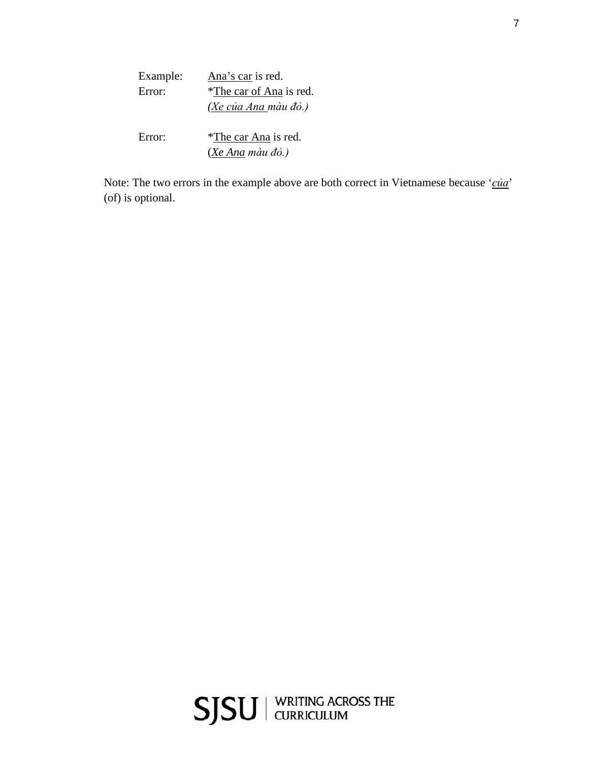| Example: | Ana's car is red.                                |
|----------|--------------------------------------------------|
| Error:   | *The car of Ana is red.                          |
|          | (Xe của Ana màu đỏ.)                             |
| Error:   | *The car Ana is red.<br>( <u>Xe Ana</u> màu đỏ.) |

Note: The two errors in the example above are both correct in Vietnamese because '*của*' (of) is optional.

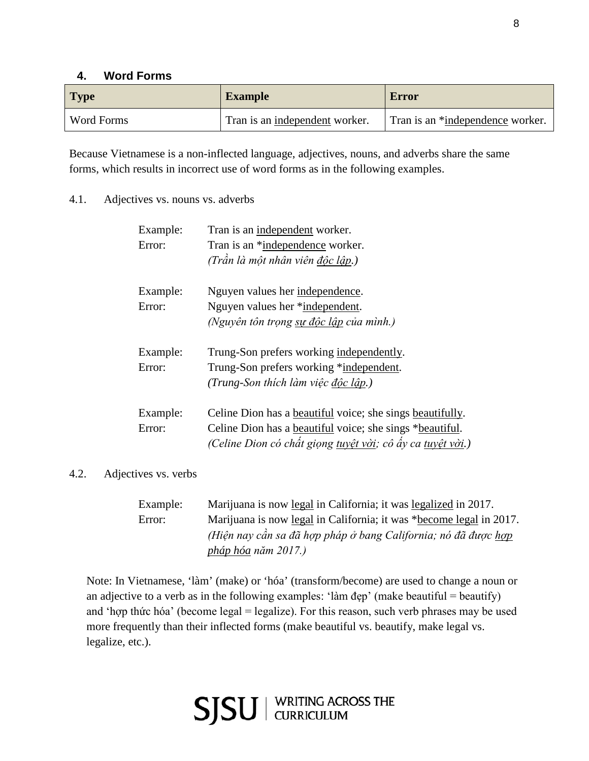## **4. Word Forms**

| Type       | <b>Example</b>                 | <b>Error</b>                     |
|------------|--------------------------------|----------------------------------|
| Word Forms | Tran is an independent worker. | Tran is an *independence worker. |

Because Vietnamese is a non-inflected language, adjectives, nouns, and adverbs share the same forms, which results in incorrect use of word forms as in the following examples.

4.1. Adjectives vs. nouns vs. adverbs

| Example:<br>Error: | Tran is an independent worker.<br>Tran is an *independence worker.<br>(Trần là một nhân viên độc lập.)                                                                                                     |
|--------------------|------------------------------------------------------------------------------------------------------------------------------------------------------------------------------------------------------------|
| Example:<br>Error: | Nguyen values her independence.<br>Nguyen values her *independent.<br>(Nguyên tôn trọng sự độc lập của mình.)                                                                                              |
| Example:<br>Error: | Trung-Son prefers working independently.<br>Trung-Son prefers working *independent.<br>(Trung-Son thích làm việc độc lập.)                                                                                 |
| Example:<br>Error: | Celine Dion has a <u>beautiful</u> voice; she sings beautifully.<br>Celine Dion has a <u>beautiful</u> voice; she sings * <u>beautiful</u> .<br>(Celine Dion có chất giọng tuyệt vời; cô ấy ca tuyệt vời.) |

## 4.2. Adjectives vs. verbs

| Example: | Marijuana is now legal in California; it was legalized in 2017.     |
|----------|---------------------------------------------------------------------|
| Error:   | Marijuana is now legal in California; it was *become legal in 2017. |
|          | (Hiện nay cần sa đã hợp pháp ở bang California; nó đã được hợp      |
|          | pháp hóa năm 2017.)                                                 |

Note: In Vietnamese, 'làm' (make) or 'hóa' (transform/become) are used to change a noun or an adjective to a verb as in the following examples: 'làm đẹp' (make beautiful = beautify) and 'hợp thức hóa' (become legal = legalize). For this reason, such verb phrases may be used more frequently than their inflected forms (make beautiful vs. beautify, make legal vs. legalize, etc.).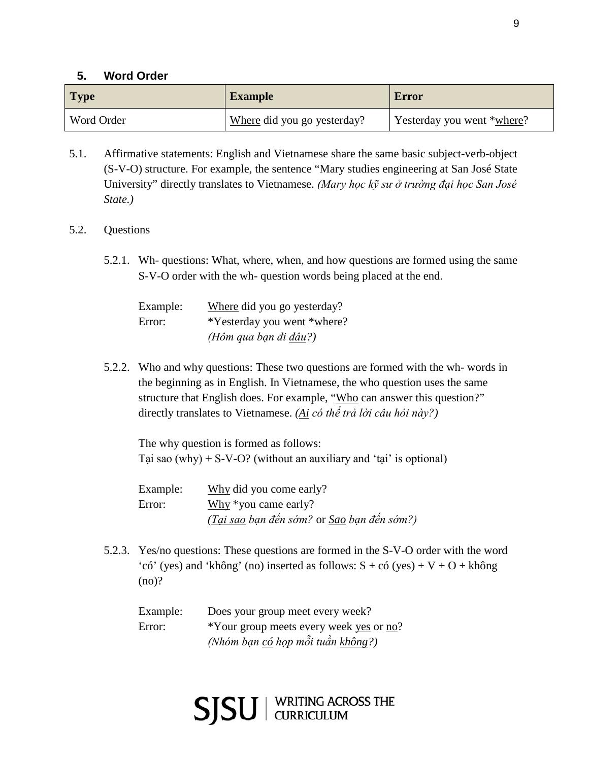### **5. Word Order**

| <b>Type</b> | <b>Example</b>              | Error                      |
|-------------|-----------------------------|----------------------------|
| Word Order  | Where did you go yesterday? | Yesterday you went *where? |

- 5.1. Affirmative statements: English and Vietnamese share the same basic subject-verb-object (S-V-O) structure. For example, the sentence "Mary studies engineering at San José State University" directly translates to Vietnamese. *(Mary học kỹ sư ở trường đại học San José State.)*
- 5.2. Questions
	- 5.2.1. Wh- questions: What, where, when, and how questions are formed using the same S-V-O order with the wh- question words being placed at the end.

| Example: | Where did you go yesterday?   |
|----------|-------------------------------|
| Error:   | *Yesterday you went *where?   |
|          | (Hôm qua bạn đi <u>đâu</u> ?) |

5.2.2. Who and why questions: These two questions are formed with the wh- words in the beginning as in English. In Vietnamese, the who question uses the same structure that English does. For example, "Who can answer this question?" directly translates to Vietnamese. *(Ai có thể trả lời câu hỏi này?)*

The why question is formed as follows: Tại sao  $(why) + S-V-O?$  (without an auxiliary and 'tại' is optional)

Example: Why did you come early? Error: Why \*you came early? *(Tại sao bạn đến sớm?* or *Sao bạn đến sớm?)*

5.2.3. Yes/no questions: These questions are formed in the S-V-O order with the word 'có' (yes) and 'không' (no) inserted as follows:  $S + c6$  (yes) + V + O + không (no)?

| Example: | Does your group meet every week?         |
|----------|------------------------------------------|
| Error:   | *Your group meets every week yes or no?  |
|          | (Nhóm bạn <u>có</u> họp mỗi tuần không?) |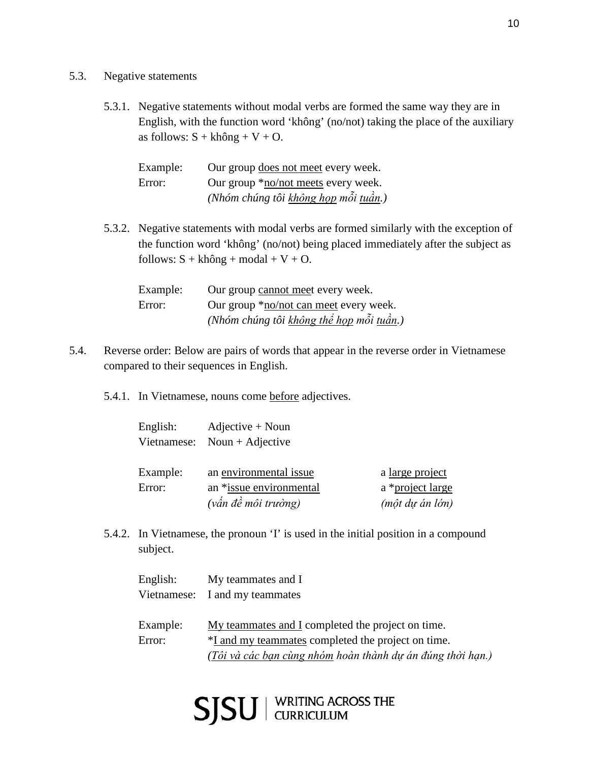- 5.3. Negative statements
	- 5.3.1. Negative statements without modal verbs are formed the same way they are in English, with the function word 'không' (no/not) taking the place of the auxiliary as follows:  $S + kh\hat{o}ng + V + O$ .

| Example: | Our group does not meet every week.         |
|----------|---------------------------------------------|
| Error:   | Our group * <u>no/not</u> meets every week. |
|          | (Nhóm chúng tôi không họp mỗi tuần.)        |

5.3.2. Negative statements with modal verbs are formed similarly with the exception of the function word 'không' (no/not) being placed immediately after the subject as follows:  $S + kh\hat{o}ng + modal + V + O$ .

| Example: | Our group cannot meet every week.              |
|----------|------------------------------------------------|
| Error:   | Our group * <u>no/not can meet</u> every week. |
|          | (Nhóm chúng tôi không thể họp mỗi tuần.)       |

- 5.4. Reverse order: Below are pairs of words that appear in the reverse order in Vietnamese compared to their sequences in English.
	- 5.4.1. In Vietnamese, nouns come before adjectives.

| English:    | $Adjective + Noun$      |                  |
|-------------|-------------------------|------------------|
| Vietnamese: | Noun + Adjective        |                  |
|             |                         |                  |
| Example:    | an environmental issue  | a large project  |
| Error:      | an *issue environmental | a *project large |
|             | (vấn đề môi trường)     | (một dự án lớn)  |

5.4.2. In Vietnamese, the pronoun 'I' is used in the initial position in a compound subject.

| English: | My teammates and I                                         |
|----------|------------------------------------------------------------|
|          | Vietnamese: I and my teammates                             |
|          |                                                            |
| Example: | My teammates and I completed the project on time.          |
| Error:   | *I and my teammates completed the project on time.         |
|          | (Tôi và các bạn cùng nhóm hoàn thành dự án đúng thời hạn.) |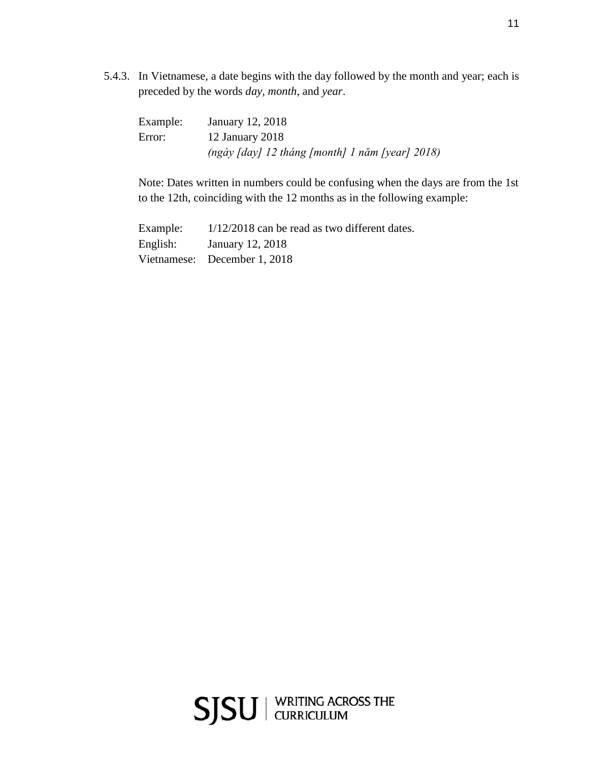5.4.3. In Vietnamese, a date begins with the day followed by the month and year; each is preceded by the words *day, month*, and *year*.

| Example: | January 12, 2018                                                |
|----------|-----------------------------------------------------------------|
| Error:   | 12 January 2018                                                 |
|          | $(ng\dot{a}y \dot{\alpha})$ 12 tháng [month] 1 năm [year] 2018) |

Note: Dates written in numbers could be confusing when the days are from the 1st to the 12th, coinciding with the 12 months as in the following example:

Example:  $1/12/2018$  can be read as two different dates. English: January 12, 2018 Vietnamese: December 1, 2018

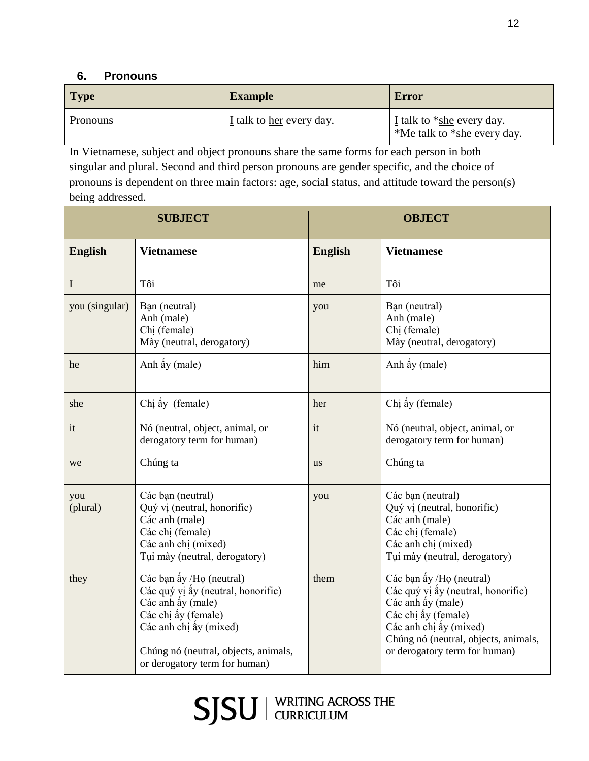## **6. Pronouns**

| <b>Type</b>     | <b>Example</b>           | <b>Error</b>                                               |
|-----------------|--------------------------|------------------------------------------------------------|
| <b>Pronouns</b> | I talk to her every day. | $I$ talk to *she every day.<br>*Me talk to *she every day. |

In Vietnamese, subject and object pronouns share the same forms for each person in both singular and plural. Second and third person pronouns are gender specific, and the choice of pronouns is dependent on three main factors: age, social status, and attitude toward the person(s) being addressed.

| <b>SUBJECT</b>  |                                                                                                                                                                                                               |                | <b>OBJECT</b>                                                                                                                                                                                                 |
|-----------------|---------------------------------------------------------------------------------------------------------------------------------------------------------------------------------------------------------------|----------------|---------------------------------------------------------------------------------------------------------------------------------------------------------------------------------------------------------------|
| <b>English</b>  | <b>Vietnamese</b>                                                                                                                                                                                             | <b>English</b> | <b>Vietnamese</b>                                                                                                                                                                                             |
| I               | Tôi                                                                                                                                                                                                           | me             | Tôi                                                                                                                                                                                                           |
| you (singular)  | Bạn (neutral)<br>Anh (male)<br>Chi (female)<br>Mày (neutral, derogatory)                                                                                                                                      | you            | Bạn (neutral)<br>Anh (male)<br>Chi (female)<br>Mày (neutral, derogatory)                                                                                                                                      |
| he              | Anh ấy (male)                                                                                                                                                                                                 | him            | Anh ấy (male)                                                                                                                                                                                                 |
| she             | Chị ấy (female)                                                                                                                                                                                               | her            | Chị ấy (female)                                                                                                                                                                                               |
| it              | Nó (neutral, object, animal, or<br>derogatory term for human)                                                                                                                                                 | it             | Nó (neutral, object, animal, or<br>derogatory term for human)                                                                                                                                                 |
| we              | Chúng ta                                                                                                                                                                                                      | <b>us</b>      | Chúng ta                                                                                                                                                                                                      |
| you<br>(plural) | Các bạn (neutral)<br>Quý vị (neutral, honorific)<br>Các anh (male)<br>Các chị (female)<br>Các anh chị (mixed)<br>Tui mày (neutral, derogatory)                                                                | you            | Các bạn (neutral)<br>Quý vị (neutral, honorific)<br>Các anh (male)<br>Các chị (female)<br>Các anh chị (mixed)<br>Tui mày (neutral, derogatory)                                                                |
| they            | Các bạn ấy /Họ (neutral)<br>Các quý vị ấy (neutral, honorific)<br>Các anh ấy (male)<br>Các chị ấy (female)<br>Các anh chị ấy (mixed)<br>Chúng nó (neutral, objects, animals,<br>or derogatory term for human) | them           | Các bạn ấy /Họ (neutral)<br>Các quý vị ấy (neutral, honorific)<br>Các anh ấy (male)<br>Các chị ấy (female)<br>Các anh chị ấy (mixed)<br>Chúng nó (neutral, objects, animals,<br>or derogatory term for human) |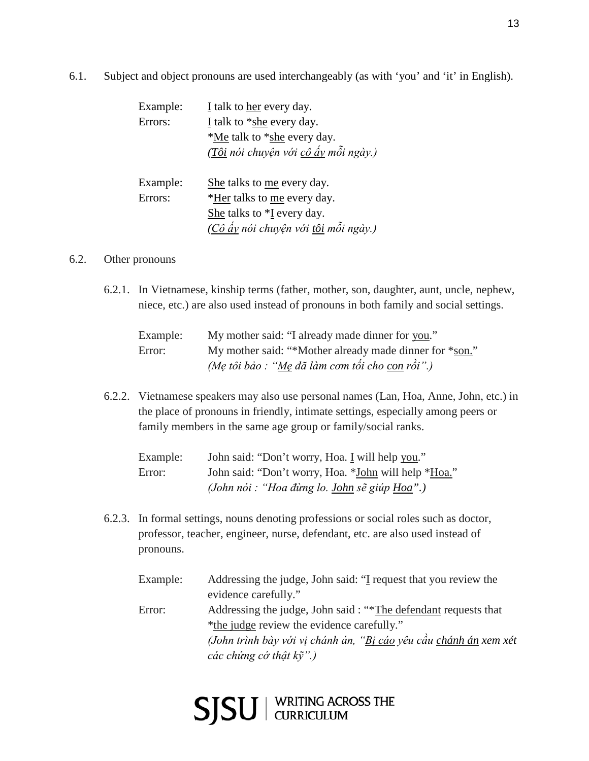6.1. Subject and object pronouns are used interchangeably (as with 'you' and 'it' in English).

| Example: | I talk to her every day.             |
|----------|--------------------------------------|
| Errors:  | I talk to $*$ she every day.         |
|          | *Me talk to *she every day.          |
|          | (Tôi nói chuyện với cô ấy mỗi ngày.) |
|          |                                      |
| Example: | She talks to me every day.           |
| Errors:  | *Her talks to me every day.          |
|          | She talks to *I every day.           |
|          | (Cô ấy nói chuyện với tôi mỗi ngày.) |

#### 6.2. Other pronouns

6.2.1. In Vietnamese, kinship terms (father, mother, son, daughter, aunt, uncle, nephew, niece, etc.) are also used instead of pronouns in both family and social settings.

| Example: | My mother said: "I already made dinner for you."        |
|----------|---------------------------------------------------------|
| Error:   | My mother said: "*Mother already made dinner for *son." |
|          | (Mẹ tôi bảo : "Mẹ đã làm cơm tối cho con rồi".)         |

6.2.2. Vietnamese speakers may also use personal names (Lan, Hoa, Anne, John, etc.) in the place of pronouns in friendly, intimate settings, especially among peers or family members in the same age group or family/social ranks.

| Example: | John said: "Don't worry, Hoa. I will help you."      |
|----------|------------------------------------------------------|
| Error:   | John said: "Don't worry, Hoa. *John will help *Hoa." |
|          | (John nói : "Hoa đừng lo. John sẽ giúp Hoa".)        |

- 6.2.3. In formal settings, nouns denoting professions or social roles such as doctor, professor, teacher, engineer, nurse, defendant, etc. are also used instead of pronouns.
	- Example: Addressing the judge, John said: "I request that you review the evidence carefully." Error: Addressing the judge, John said : "\*The defendant requests that \*the judge review the evidence carefully." *(John trình bày với vị chánh án, "Bị cáo yêu cầu chánh án xem xét các chứng cớ thật kỹ".)*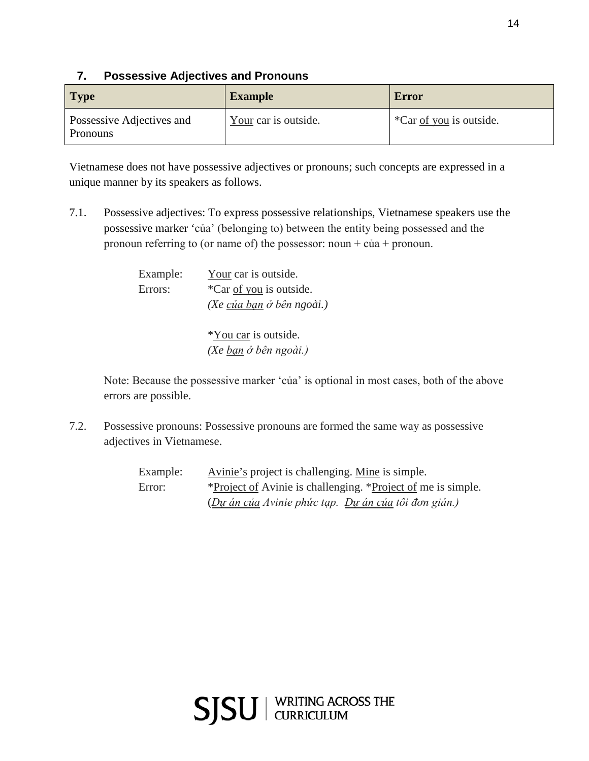## **7. Possessive Adjectives and Pronouns**

| <b>Type</b>                           | <b>Example</b>       | Error                   |
|---------------------------------------|----------------------|-------------------------|
| Possessive Adjectives and<br>Pronouns | Your car is outside. | *Car of you is outside. |

Vietnamese does not have possessive adjectives or pronouns; such concepts are expressed in a unique manner by its speakers as follows.

7.1. Possessive adjectives: To express possessive relationships, Vietnamese speakers use the possessive marker 'của' (belonging to) between the entity being possessed and the pronoun referring to (or name of) the possessor: noun +  $c\dot{u}$  + pronoun.

| Example: | Your car is outside.      |
|----------|---------------------------|
| Errors:  | *Car of you is outside.   |
|          | (Xe của bạn ở bên ngoài.) |
|          |                           |

\*You car is outside. *(Xe bạn ở bên ngoài.)*

Note: Because the possessive marker 'của' is optional in most cases, both of the above errors are possible.

7.2. Possessive pronouns: Possessive pronouns are formed the same way as possessive adjectives in Vietnamese.

> Example: Avinie's project is challenging. Mine is simple. Error: \*Project of Avinie is challenging. \*Project of me is simple. (*Dự án của Avinie phức tạp. Dự án của tôi đơn giản.)*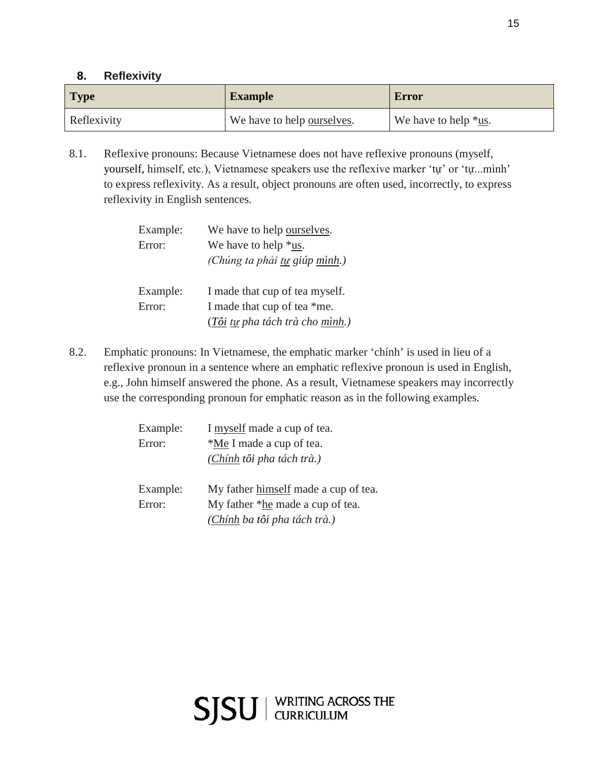## **8. Reflexivity**

| <b>Type</b> | <b>Example</b>                     | <b>Error</b>                           |
|-------------|------------------------------------|----------------------------------------|
| Reflexivity | We have to help <u>ourselves</u> . | We have to help $*_{\underline{us}}$ . |

8.1. Reflexive pronouns: Because Vietnamese does not have reflexive pronouns (myself, yourself, himself, etc.), Vietnamese speakers use the reflexive marker 'tự' or 'tự...mình' to express reflexivity. As a result, object pronouns are often used, incorrectly, to express reflexivity in English sentences.

| Example: | We have to help ourselves.      |
|----------|---------------------------------|
| Error:   | We have to help $*$ us.         |
|          | (Chúng ta phải tự giúp mình.)   |
| Example: | I made that cup of tea myself.  |
| Error:   | I made that cup of tea *me.     |
|          | (Tôi tự pha tách trà cho mình.) |

8.2. Emphatic pronouns: In Vietnamese, the emphatic marker 'chính' is used in lieu of a reflexive pronoun in a sentence where an emphatic reflexive pronoun is used in English, e.g., John himself answered the phone. As a result, Vietnamese speakers may incorrectly use the corresponding pronoun for emphatic reason as in the following examples.

| Example: | I myself made a cup of tea.              |
|----------|------------------------------------------|
| Error:   | *Me I made a cup of tea.                 |
|          | (Chính tôi pha tách trà.)                |
| Example: | My father himself made a cup of tea.     |
| Error:   | My father * <u>he</u> made a cup of tea. |
|          | (Chính ba tôi pha tách trà.)             |

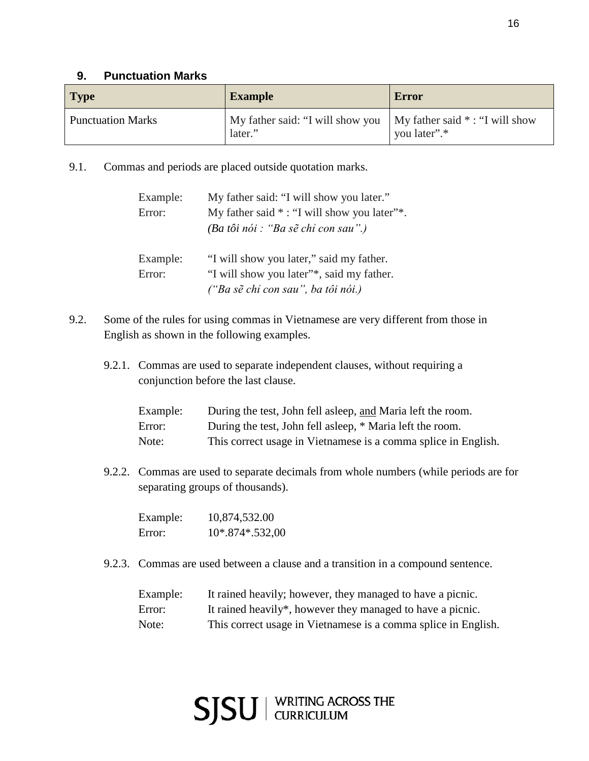## **9. Punctuation Marks**

| <b>Type</b>              | <b>Example</b>                                                                | Error        |
|--------------------------|-------------------------------------------------------------------------------|--------------|
| <b>Punctuation Marks</b> | My father said: "I will show you   My father said * : "I will show<br>later." | you later".* |

9.1. Commas and periods are placed outside quotation marks.

| Example: | My father said: "I will show you later."           |
|----------|----------------------------------------------------|
| Error:   | My father said $*$ : "I will show you later" $*$ . |
|          | (Ba tôi nói : "Ba sẽ chỉ con sau".)                |
| Example: | "I will show you later," said my father.           |
| Error:   | "I will show you later"*, said my father.          |
|          | ("Ba sẽ chỉ con sau", ba tôi nói.)                 |

- 9.2. Some of the rules for using commas in Vietnamese are very different from those in English as shown in the following examples.
	- 9.2.1. Commas are used to separate independent clauses, without requiring a conjunction before the last clause.

| Example: | During the test, John fell asleep, and Maria left the room.    |
|----------|----------------------------------------------------------------|
| Error:   | During the test, John fell asleep, * Maria left the room.      |
| Note:    | This correct usage in Vietnamese is a comma splice in English. |

9.2.2. Commas are used to separate decimals from whole numbers (while periods are for separating groups of thousands).

| Example: | 10,874,532.00     |
|----------|-------------------|
| Error:   | $10*.874*.532,00$ |

9.2.3. Commas are used between a clause and a transition in a compound sentence.

| Example: | It rained heavily; however, they managed to have a picnic.     |
|----------|----------------------------------------------------------------|
| Error:   | It rained heavily*, however they managed to have a picnic.     |
| Note:    | This correct usage in Vietnamese is a comma splice in English. |

SJSU | WRITING ACROSS THE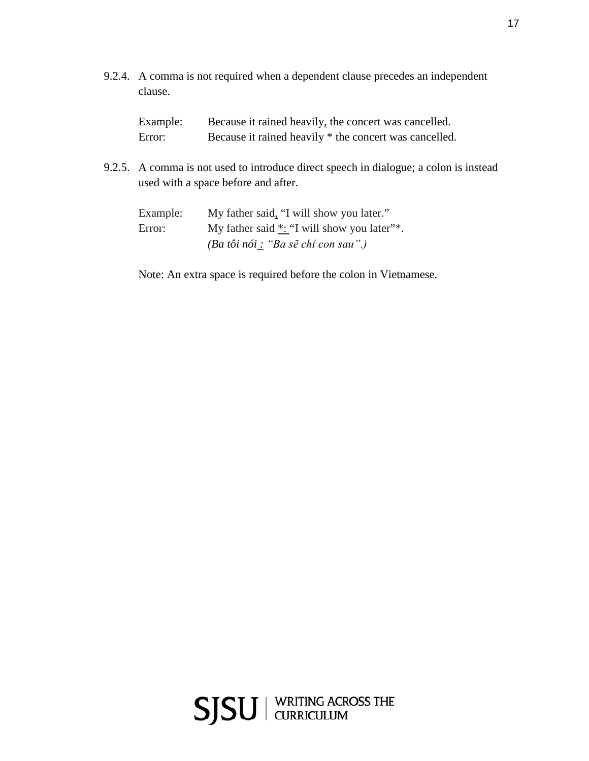9.2.4. A comma is not required when a dependent clause precedes an independent clause.

| Example: | Because it rained heavily, the concert was cancelled.  |
|----------|--------------------------------------------------------|
| Error:   | Because it rained heavily * the concert was cancelled. |

9.2.5. A comma is not used to introduce direct speech in dialogue; a colon is instead used with a space before and after.

| Example: | My father said, "I will show you later."                                      |
|----------|-------------------------------------------------------------------------------|
| Error:   | My father said $*$ : "I will show you later"*.                                |
|          | $(Ba t\hat{o}i n\hat{o}i : "Ba s\tilde{e} ch\tilde{o} c\hat{o}n s\hat{a}u").$ |

Note: An extra space is required before the colon in Vietnamese.

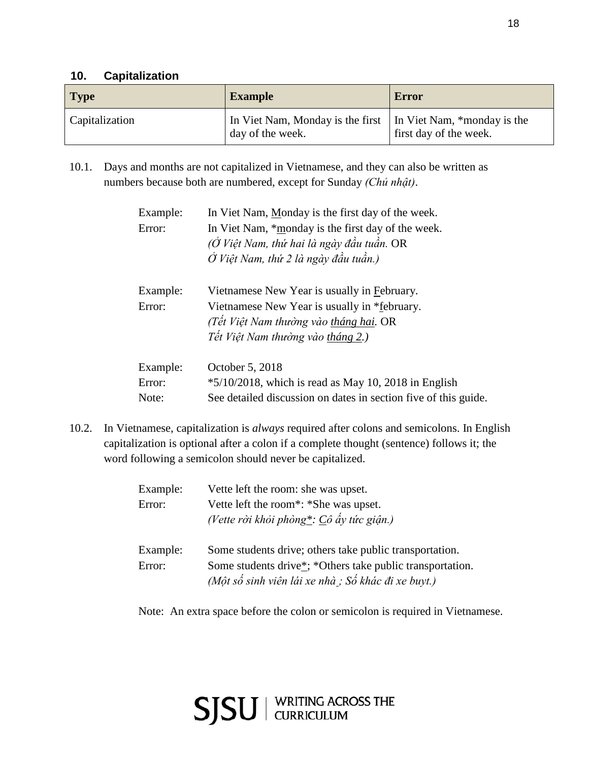## **10. Capitalization**

| <b>Type</b>    | <b>Example</b>                                                                     | <b>Error</b>           |
|----------------|------------------------------------------------------------------------------------|------------------------|
| Capitalization | In Viet Nam, Monday is the first   In Viet Nam, *monday is the<br>day of the week. | first day of the week. |

10.1. Days and months are not capitalized in Vietnamese, and they can also be written as numbers because both are numbered, except for Sunday *(Chủ nhật)*.

| Example:<br>Error: | In Viet Nam, Monday is the first day of the week.<br>In Viet Nam, *monday is the first day of the week.<br>(Ở Việt Nam, thứ hai là ngày đầu tuần. OR<br>$\dot{O}$ Việt Nam, thứ 2 là ngày đầu tuần.) |
|--------------------|------------------------------------------------------------------------------------------------------------------------------------------------------------------------------------------------------|
| Example:<br>Error: | Vietnamese New Year is usually in February.<br>Vietnamese New Year is usually in *february.<br>(Tết Việt Nam thường vào tháng hai. OR<br>Tết Việt Nam thường vào tháng 2.)                           |
| Example:           | October 5, 2018                                                                                                                                                                                      |
| Error:             | $*5/10/2018$ , which is read as May 10, 2018 in English                                                                                                                                              |
| Note:              | See detailed discussion on dates in section five of this guide.                                                                                                                                      |

10.2. In Vietnamese, capitalization is *always* required after colons and semicolons. In English capitalization is optional after a colon if a complete thought (sentence) follows it; the word following a semicolon should never be capitalized.

| Example: | Vette left the room: she was upset.                                                                              |
|----------|------------------------------------------------------------------------------------------------------------------|
| Error:   | Vette left the room <sup>*</sup> : *She was upset.                                                               |
|          | (Vette ròi khỏi phòng*: Cô ấy tức giận.)                                                                         |
| Example: | Some students drive; others take public transportation.                                                          |
| Error:   | Some students drive*; *Others take public transportation.<br>(Một số sinh viên lái xe nhà ; Số khác đi xe buyt.) |

Note: An extra space before the colon or semicolon is required in Vietnamese.

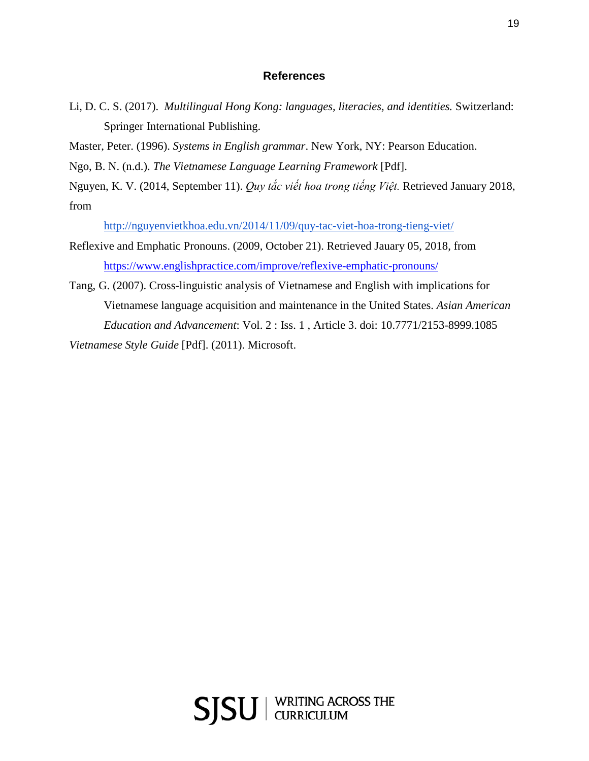#### **References**

Li, D. C. S. (2017). *Multilingual Hong Kong: languages, literacies, and identities.* Switzerland: Springer International Publishing.

Master, Peter. (1996). *Systems in English grammar*. New York, NY: Pearson Education.

Ngo, B. N. (n.d.). *The Vietnamese Language Learning Framework* [Pdf].

Nguyen, K. V. (2014, September 11). *Quy tắc viết hoa trong tiếng Việt.* Retrieved January 2018, from

<http://nguyenvietkhoa.edu.vn/2014/11/09/quy-tac-viet-hoa-trong-tieng-viet/>

- Reflexive and Emphatic Pronouns. (2009, October 21). Retrieved Jauary 05, 2018, from <https://www.englishpractice.com/improve/reflexive-emphatic-pronouns/>
- Tang, G. (2007). Cross-linguistic analysis of Vietnamese and English with implications for Vietnamese language acquisition and maintenance in the United States. *Asian American Education and Advancement*: Vol. 2 : Iss. 1 , Article 3. doi: 10.7771/2153-8999.1085 *Vietnamese Style Guide* [Pdf]. (2011). Microsoft.